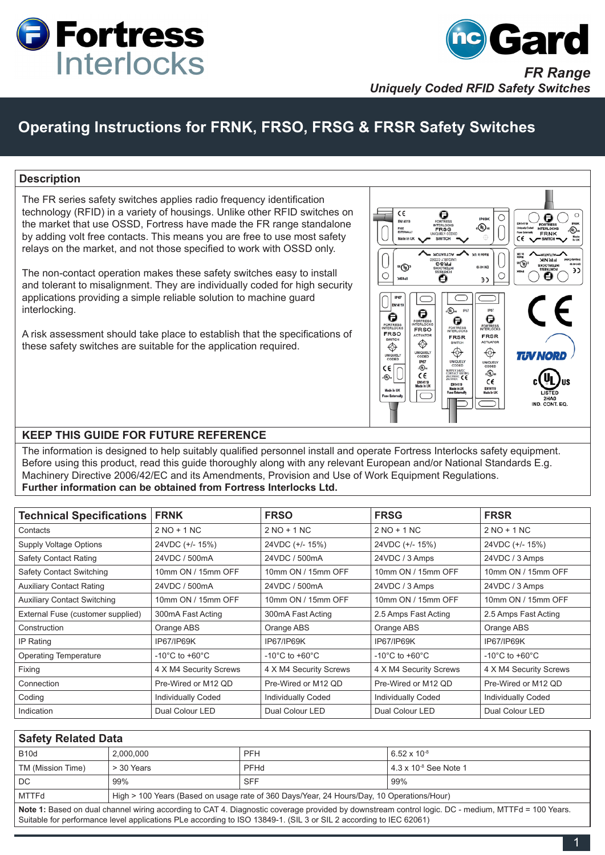



#### **Description**

The FR series safety switches applies radio frequency identification technology (RFID) in a variety of housings. Unlike other RFID switches on the market that use OSSD, Fortress have made the FR range standalone by adding volt free contacts. This means you are free to use most safety relays on the market, and not those specified to work with OSSD only.

The non-contact operation makes these safety switches easy to install and tolerant to misalignment. They are individually coded for high security applications providing a simple reliable solution to machine guard interlocking.

A risk assessment should take place to establish that the specifications of these safety switches are suitable for the application required.



#### **KEEP THIS GUIDE FOR FUTURE REFERENCE**

The information is designed to help suitably qualified personnel install and operate Fortress Interlocks safety equipment. Before using this product, read this guide thoroughly along with any relevant European and/or National Standards E.g. Machinery Directive 2006/42/EC and its Amendments, Provision and Use of Work Equipment Regulations. **Further information can be obtained from Fortress Interlocks Ltd.**

| <b>Technical Specifications FRNK</b> |                                    | <b>FRSO</b>                        | <b>FRSG</b>                        | <b>FRSR</b>                        |
|--------------------------------------|------------------------------------|------------------------------------|------------------------------------|------------------------------------|
| Contacts                             | $2 NO + 1 NC$                      | $2 NO + 1 NC$                      | $2 NO + 1 NC$                      | $2 NO + 1 NC$                      |
| Supply Voltage Options               | 24VDC (+/- 15%)                    | 24VDC (+/- 15%)                    | 24VDC (+/- 15%)                    | 24VDC (+/- 15%)                    |
| <b>Safety Contact Rating</b>         | 24VDC / 500mA                      | 24VDC / 500mA                      | 24VDC / 3 Amps                     | 24VDC / 3 Amps                     |
| <b>Safety Contact Switching</b>      | 10mm ON / 15mm OFF                 | 10mm ON / 15mm OFF                 | 10mm ON / 15mm OFF                 | 10mm ON / 15mm OFF                 |
| <b>Auxiliary Contact Rating</b>      | 24VDC / 500mA                      | 24VDC / 500mA                      | 24VDC / 3 Amps                     | 24VDC / 3 Amps                     |
| <b>Auxiliary Contact Switching</b>   | 10mm ON / 15mm OFF                 | 10mm ON / 15mm OFF                 | 10mm ON / 15mm OFF                 | 10mm ON / 15mm OFF                 |
| External Fuse (customer supplied)    | 300mA Fast Acting                  | 300mA Fast Acting                  | 2.5 Amps Fast Acting               | 2.5 Amps Fast Acting               |
| Construction                         | Orange ABS                         | Orange ABS                         | Orange ABS                         | Orange ABS                         |
| IP Rating                            | IP67/IP69K                         | IP67/IP69K                         | <b>IP67/IP69K</b>                  | IP67/IP69K                         |
| <b>Operating Temperature</b>         | $-10^{\circ}$ C to $+60^{\circ}$ C | $-10^{\circ}$ C to $+60^{\circ}$ C | $-10^{\circ}$ C to $+60^{\circ}$ C | $-10^{\circ}$ C to $+60^{\circ}$ C |
| Fixing                               | 4 X M4 Security Screws             | 4 X M4 Security Screws             | 4 X M4 Security Screws             | 4 X M4 Security Screws             |
| Connection                           | Pre-Wired or M12 QD                | Pre-Wired or M12 QD                | Pre-Wired or M12 QD                | Pre-Wired or M12 QD                |
| Coding                               | Individually Coded                 | Individually Coded                 | Individually Coded                 | <b>Individually Coded</b>          |
| Indication                           | Dual Colour LED                    | Dual Colour LED                    | Dual Colour LED                    | Dual Colour LED                    |

| <b>Safety Related Data</b>                                                                                                                                                                                                                                              |                                                                                           |             |                                 |  |  |
|-------------------------------------------------------------------------------------------------------------------------------------------------------------------------------------------------------------------------------------------------------------------------|-------------------------------------------------------------------------------------------|-------------|---------------------------------|--|--|
| <b>B10d</b>                                                                                                                                                                                                                                                             | 2.000.000                                                                                 | <b>PFH</b>  | $6.52 \times 10^{-8}$           |  |  |
| TM (Mission Time)                                                                                                                                                                                                                                                       | > 30 Years                                                                                | <b>PFHd</b> | $4.3 \times 10^{-8}$ See Note 1 |  |  |
| DC.                                                                                                                                                                                                                                                                     | 99%                                                                                       | <b>SFF</b>  | 99%                             |  |  |
| MTTFd                                                                                                                                                                                                                                                                   | High > 100 Years (Based on usage rate of 360 Days/Year, 24 Hours/Day, 10 Operations/Hour) |             |                                 |  |  |
| Note 1: Based on dual channel wiring according to CAT 4. Diagnostic coverage provided by downstream control logic. DC - medium, MTTFd = 100 Years.<br>Suitable for performance level applications PLe according to ISO 13849-1. (SIL 3 or SIL 2 according to IEC 62061) |                                                                                           |             |                                 |  |  |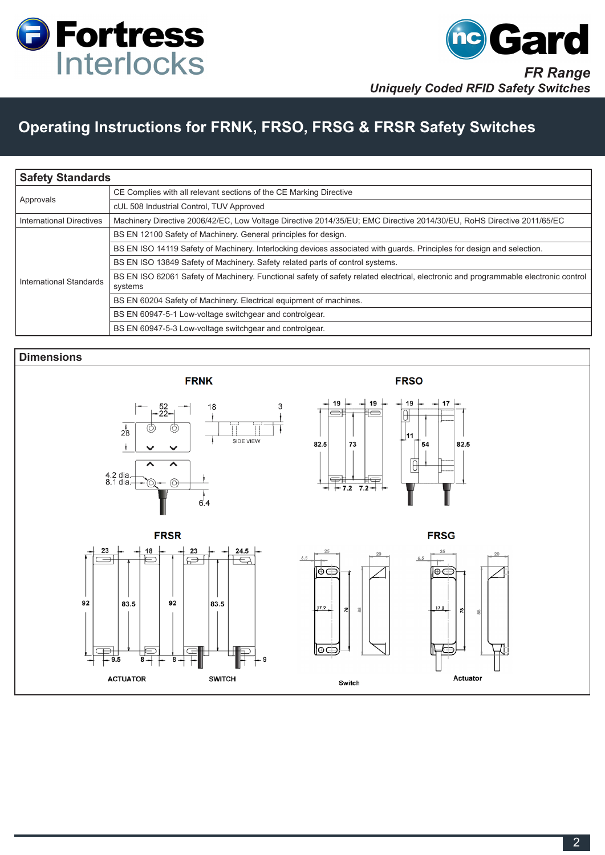



| <b>Safety Standards</b>  |                                                                                                                                                |  |  |  |
|--------------------------|------------------------------------------------------------------------------------------------------------------------------------------------|--|--|--|
| Approvals                | CE Complies with all relevant sections of the CE Marking Directive                                                                             |  |  |  |
|                          | cUL 508 Industrial Control, TUV Approved                                                                                                       |  |  |  |
| International Directives | Machinery Directive 2006/42/EC, Low Voltage Directive 2014/35/EU; EMC Directive 2014/30/EU, RoHS Directive 2011/65/EC                          |  |  |  |
| International Standards  | BS EN 12100 Safety of Machinery. General principles for design.                                                                                |  |  |  |
|                          | BS EN ISO 14119 Safety of Machinery. Interlocking devices associated with guards. Principles for design and selection.                         |  |  |  |
|                          | BS EN ISO 13849 Safety of Machinery. Safety related parts of control systems.                                                                  |  |  |  |
|                          | BS EN ISO 62061 Safety of Machinery. Functional safety of safety related electrical, electronic and programmable electronic control<br>systems |  |  |  |
|                          | BS EN 60204 Safety of Machinery. Electrical equipment of machines.                                                                             |  |  |  |
|                          | BS EN 60947-5-1 Low-voltage switchgear and controlgear.                                                                                        |  |  |  |
|                          | BS EN 60947-5-3 Low-voltage switchgear and controlgear.                                                                                        |  |  |  |

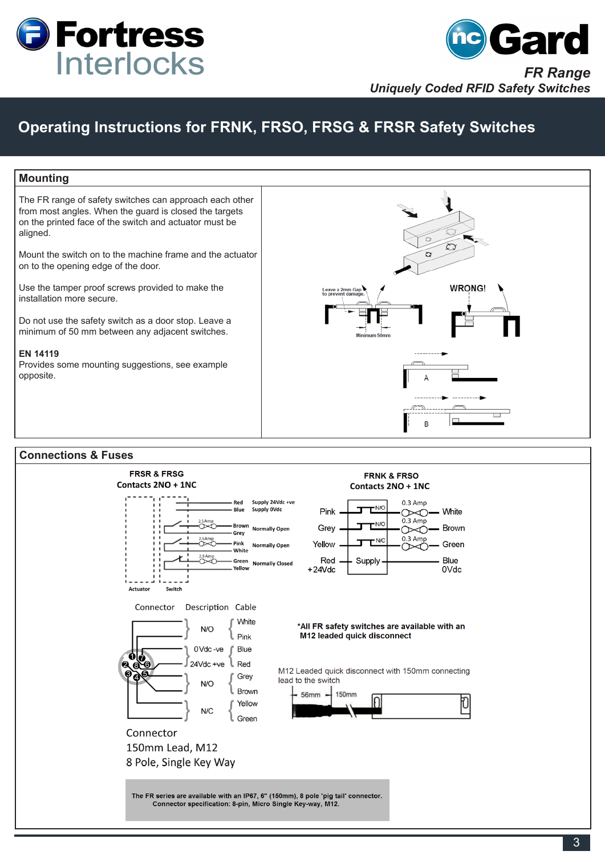